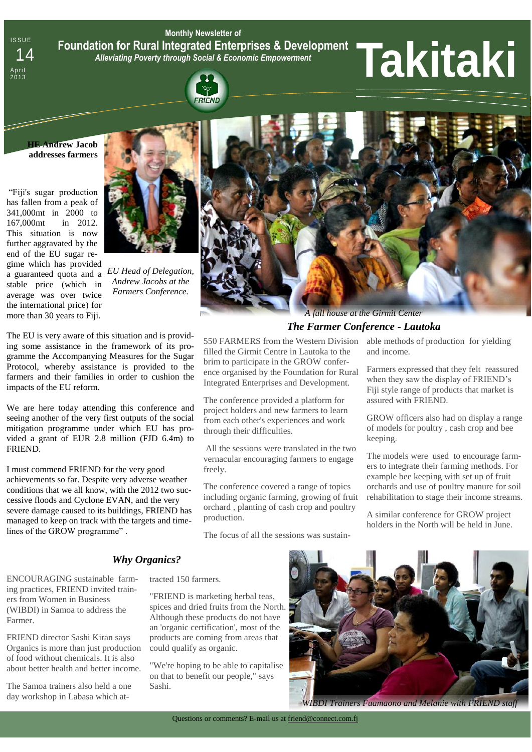**Monthly Newsletter of Foundation for Rural Integrated Enterprises & Development**  *Alleviating Poverty through Social & Economic Empowerment* Foundation for Rural Integrated Enterprises & Development<br>14 Alleviating Poverty through Social & Economic Empowerment<br>Milangles of the social Contract of the Social & Economic Empowerment<br>19 **19 19 19 19 19 19 19 19 19 19** 

**RIFNO** 

**HE Andrew Jacob addresses farmers** 

**ISSUE** 

A p r i l

"Fiji's sugar production has fallen from a peak of 341,000mt in 2000 to 167,000mt in 2012. This situation is now further aggravated by the end of the EU sugar regime which has provided a guaranteed quota and a stable price (which in average was over twice the international price) for more than 30 years to Fiji.



*EU Head of Delegation, Andrew Jacobs at the Farmers Conference.*

The EU is very aware of this situation and is providing some assistance in the framework of its programme the Accompanying Measures for the Sugar Protocol, whereby assistance is provided to the farmers and their families in order to cushion the impacts of the EU reform.

We are here today attending this conference and seeing another of the very first outputs of the social mitigation programme under which EU has provided a grant of EUR 2.8 million (FJD 6.4m) to FRIEND.

I must commend FRIEND for the very good achievements so far. Despite very adverse weather conditions that we all know, with the 2012 two successive floods and Cyclone EVAN, and the very severe damage caused to its buildings, FRIEND has managed to keep on track with the targets and timelines of the GROW programme" .



# *The Farmer Conference - Lautoka*

550 FARMERS from the Western Division filled the Girmit Centre in Lautoka to the brim to participate in the GROW conference organised by the Foundation for Rural Integrated Enterprises and Development.

The conference provided a platform for project holders and new farmers to learn from each other's experiences and work through their difficulties.

All the sessions were translated in the two vernacular encouraging farmers to engage freely.

The conference covered a range of topics including organic farming, growing of fruit orchard , planting of cash crop and poultry production.

The focus of all the sessions was sustain-

able methods of production for yielding and income.

Farmers expressed that they felt reassured when they saw the display of FRIEND's Fiji style range of products that market is assured with FRIEND.

GROW officers also had on display a range of models for poultry , cash crop and bee keeping.

The models were used to encourage farmers to integrate their farming methods. For example bee keeping with set up of fruit orchards and use of poultry manure for soil rehabilitation to stage their income streams.

A similar conference for GROW project holders in the North will be held in June.

# *Why Organics?*

ENCOURAGING sustainable farming practices, FRIEND invited trainers from Women in Business (WIBDI) in Samoa to address the Farmer.

FRIEND director Sashi Kiran says Organics is more than just production of food without chemicals. It is also about better health and better income.

The Samoa trainers also held a one day workshop in Labasa which at-

#### tracted 150 farmers.

"FRIEND is marketing herbal teas, spices and dried fruits from the North. Although these products do not have an 'organic certification', most of the products are coming from areas that could qualify as organic.

"We're hoping to be able to capitalise on that to benefit our people," says Sashi.



*WIBDI Trainers Fuamaono and Melanie with FRIEND staff*

Questions or comments? E-mail us at friend@connect.com.fj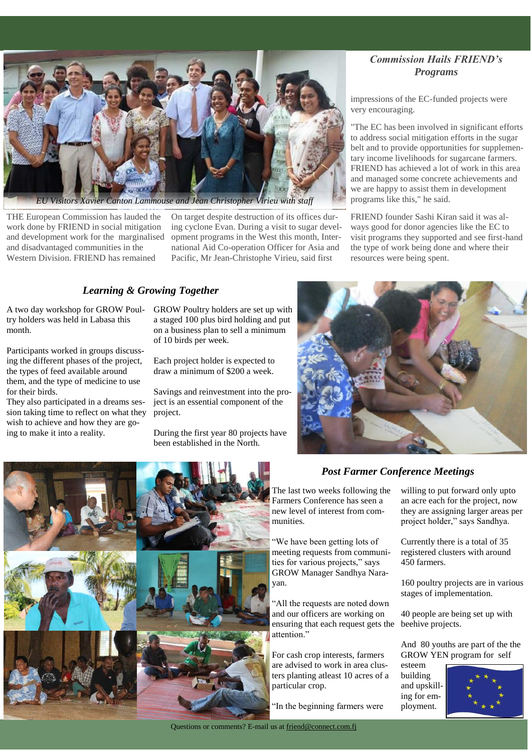

*Canton Lammouse and Jean Christopher Virieu with staff* 

THE European Commission has lauded the work done by FRIEND in social mitigation and development work for the marginalised and disadvantaged communities in the Western Division. FRIEND has remained

On target despite destruction of its offices during cyclone Evan. During a visit to sugar development programs in the West this month, International Aid Co-operation Officer for Asia and Pacific, Mr Jean-Christophe Virieu, said first

#### *Learning & Growing Together*

A two day workshop for GROW Poultry holders was held in Labasa this month.

Participants worked in groups discussing the different phases of the project, the types of feed available around them, and the type of medicine to use for their birds.

They also participated in a dreams session taking time to reflect on what they wish to achieve and how they are going to make it into a reality.

GROW Poultry holders are set up with a staged 100 plus bird holding and put on a business plan to sell a minimum of 10 birds per week.

Each project holder is expected to draw a minimum of \$200 a week.

Savings and reinvestment into the project is an essential component of the project.

During the first year 80 projects have been established in the North.

## *Commission Hails FRIEND's Programs*

impressions of the EC-funded projects were very encouraging.

"The EC has been involved in significant efforts to address social mitigation efforts in the sugar belt and to provide opportunities for supplementary income livelihoods for sugarcane farmers. FRIEND has achieved a lot of work in this area and managed some concrete achievements and we are happy to assist them in development programs like this," he said.

FRIEND founder Sashi Kiran said it was always good for donor agencies like the EC to visit programs they supported and see first-hand the type of work being done and where their resources were being spent.



# *Post Farmer Conference Meetings*

The last two weeks following the Farmers Conference has seen a new level of interest from communities.

"We have been getting lots of meeting requests from communities for various projects," says GROW Manager Sandhya Narayan.

"All the requests are noted down and our officers are working on ensuring that each request gets the attention."

For cash crop interests, farmers are advised to work in area clusters planting atleast 10 acres of a particular crop.

"In the beginning farmers were

willing to put forward only upto an acre each for the project, now they are assigning larger areas per project holder," says Sandhya.

Currently there is a total of 35 registered clusters with around 450 farmers.

160 poultry projects are in various stages of implementation.

40 people are being set up with beehive projects.

And 80 youths are part of the the GROW YEN program for self

esteem building and upskilling for employment.

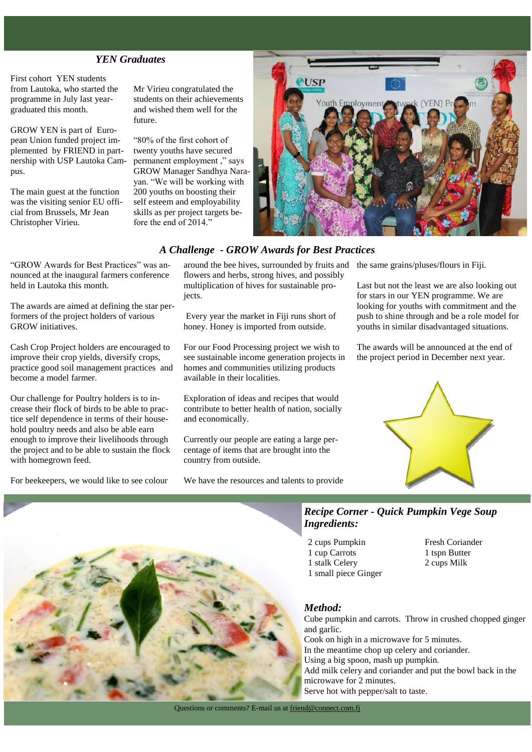#### *YEN Graduates*

First cohort YEN students from Lautoka, who started the programme in July last yeargraduated this month.

GROW YEN is part of European Union funded project implemented by FRIEND in partnership with USP Lautoka Campus.

The main guest at the function was the visiting senior EU official from Brussels, Mr Jean Christopher Virieu.

Mr Virieu congratulated the students on their achievements and wished them well for the future.

"80% of the first cohort of twenty youths have secured permanent employment ," says GROW Manager Sandhya Narayan. "We will be working with 200 youths on boosting their self esteem and employability skills as per project targets before the end of 2014."



### *A Challenge - GROW Awards for Best Practices*

"GROW Awards for Best Practices" was announced at the inaugural farmers conference held in Lautoka this month.

The awards are aimed at defining the star performers of the project holders of various GROW initiatives.

Cash Crop Project holders are encouraged to improve their crop yields, diversify crops, practice good soil management practices and become a model farmer.

Our challenge for Poultry holders is to increase their flock of birds to be able to practice self dependence in terms of their household poultry needs and also be able earn enough to improve their livelihoods through the project and to be able to sustain the flock with homegrown feed.

For beekeepers, we would like to see colour

around the bee hives, surrounded by fruits and the same grains/pluses/flours in Fiji. flowers and herbs, strong hives, and possibly multiplication of hives for sustainable projects.

Every year the market in Fiji runs short of honey. Honey is imported from outside.

For our Food Processing project we wish to see sustainable income generation projects in homes and communities utilizing products available in their localities.

Exploration of ideas and recipes that would contribute to better health of nation, socially and economically.

Currently our people are eating a large percentage of items that are brought into the country from outside.

We have the resources and talents to provide

Last but not the least we are also looking out for stars in our YEN programme. We are looking for youths with commitment and the push to shine through and be a role model for youths in similar disadvantaged situations.

The awards will be announced at the end of the project period in December next year.





- 2 cups Pumpkin 1 cup Carrots 1 stalk Celery 1 small piece Ginger
- Fresh Coriander 1 tspn Butter 2 cups Milk

#### *Method:*

Cube pumpkin and carrots. Throw in crushed chopped ginger and garlic. Cook on high in a microwave for 5 minutes. In the meantime chop up celery and coriander. Using a big spoon, mash up pumpkin. Add milk celery and coriander and put the bowl back in the microwave for 2 minutes. Serve hot with pepper/salt to taste.

Questions or comments? E-mail us at friend@connect.com.fj